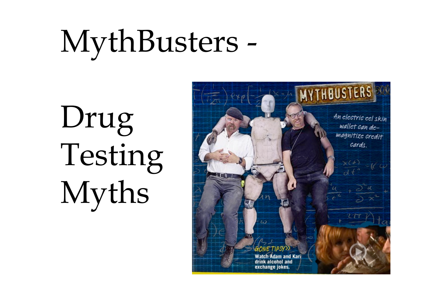# MythBusters -

Drug Testing Myths

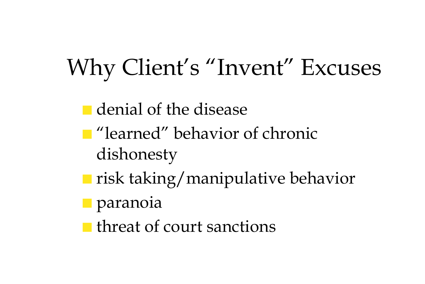### Why Client's "Invent" Excuses

- denial of the disease
- "learned" behavior of chronic dishonesty
- risk taking/manipulative behavior
- paranoia
- threat of court sanctions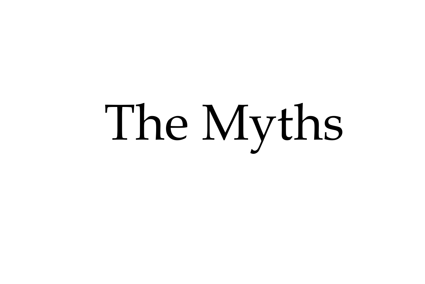# The Myths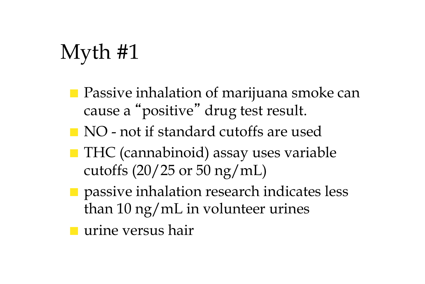- Passive inhalation of marijuana smoke can cause a "positive" drug test result.
- NO not if standard cutoffs are used
- THC (cannabinoid) assay uses variable cutoffs  $(20/25 \text{ or } 50 \text{ ng/mL})$
- passive inhalation research indicates less than 10 ng/mL in volunteer urines

■ urine versus hair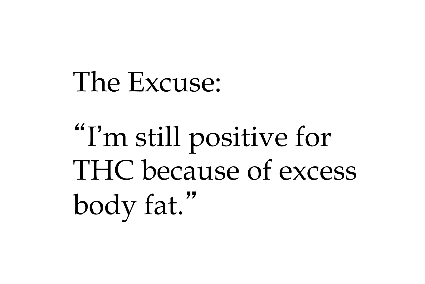"I'm still positive for THC because of excess body fat."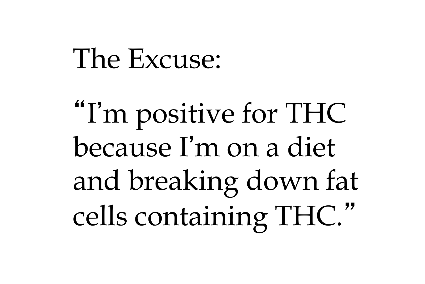"I'm positive for THC because I'm on a diet and breaking down fat cells containing THC."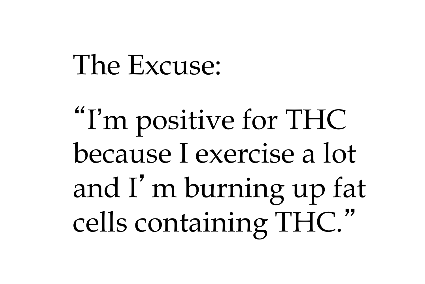"I'm positive for THC because I exercise a lot and I'm burning up fat cells containing THC."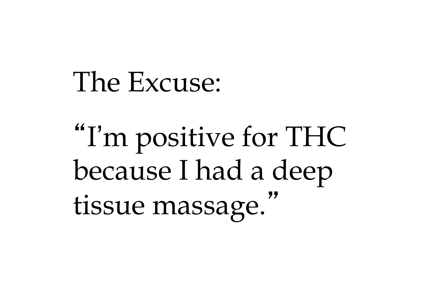"I'm positive for THC because I had a deep tissue massage."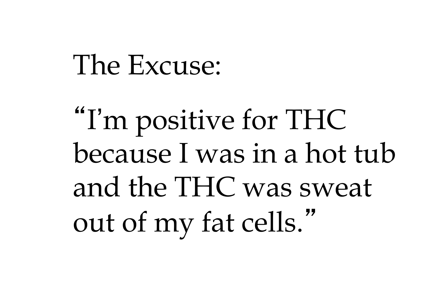"I'm positive for THC because I was in a hot tub and the THC was sweat out of my fat cells."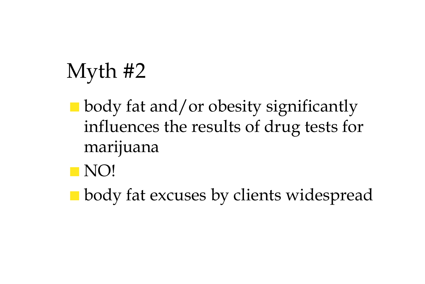- body fat and/or obesity significantly influences the results of drug tests for marijuana
- NO!
- body fat excuses by clients widespread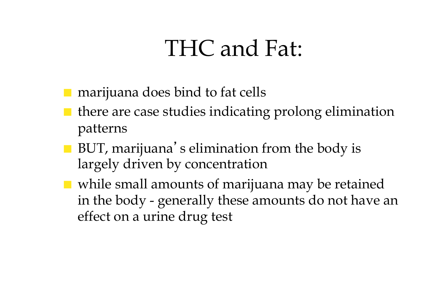#### THC and Fat:

marijuana does bind to fat cells

- $\blacksquare$  there are case studies indicating prolong elimination patterns
- BUT, marijuana's elimination from the body is largely driven by concentration
- while small amounts of marijuana may be retained in the body - generally these amounts do not have an effect on a urine drug test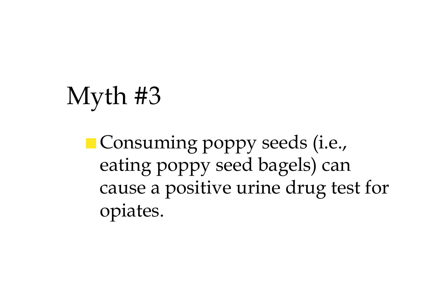■ Consuming poppy seeds (i.e., eating poppy seed bagels) can cause a positive urine drug test for opiates.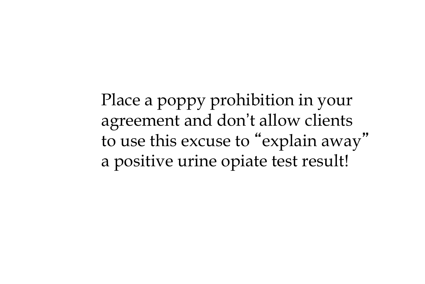Place a poppy prohibition in your agreement and don't allow clients to use this excuse to "explain away" a positive urine opiate test result!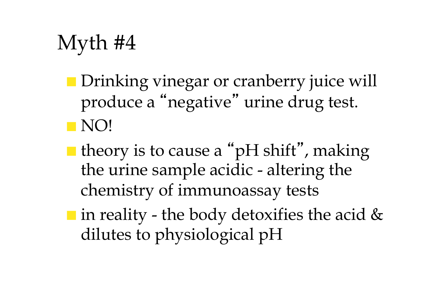- Drinking vinegar or cranberry juice will produce a "negative" urine drug test. ■ NO!
- $\blacksquare$  theory is to cause a "pH shift", making the urine sample acidic - altering the chemistry of immunoassay tests
- in reality the body detoxifies the acid & dilutes to physiological pH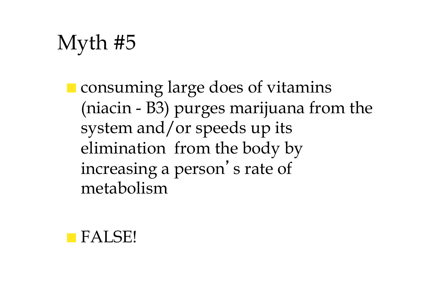■ consuming large does of vitamins (niacin - B3) purges marijuana from the system and/or speeds up its elimination from the body by increasing a person's rate of metabolism

■ FALSE!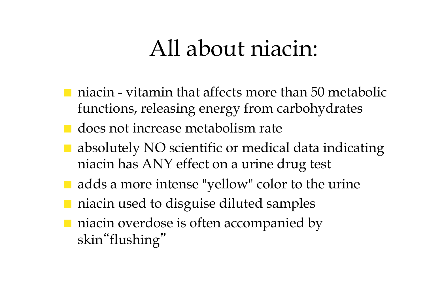#### All about niacin:

- $\blacksquare$  niacin vitamin that affects more than 50 metabolic functions, releasing energy from carbohydrates
- does not increase metabolism rate
- $\blacksquare$  absolutely NO scientific or medical data indicating niacin has ANY effect on a urine drug test
- adds a more intense "yellow" color to the urine
- niacin used to disguise diluted samples
- niacin overdose is often accompanied by skin"flushing"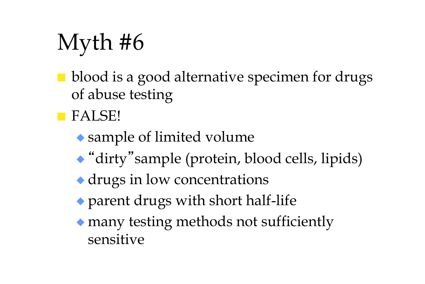- blood is a good alternative specimen for drugs of abuse testing
- FALSE!
	- ◆ sample of limited volume
	- ◆ "dirty"sample (protein, blood cells, lipids)
	- ◆ drugs in low concentrations
	- ◆ parent drugs with short half-life
	- ◆ many testing methods not sufficiently sensitive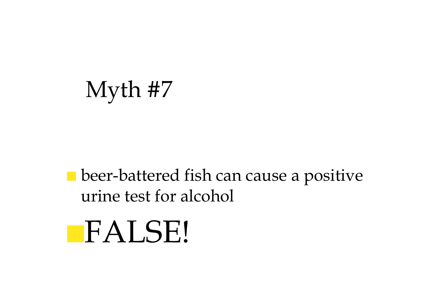#### ■ beer-battered fish can cause a positive urine test for alcohol

■FALSE!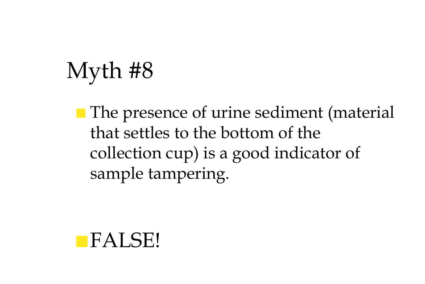■ The presence of urine sediment (material that settles to the bottom of the collection cup) is a good indicator of sample tampering.

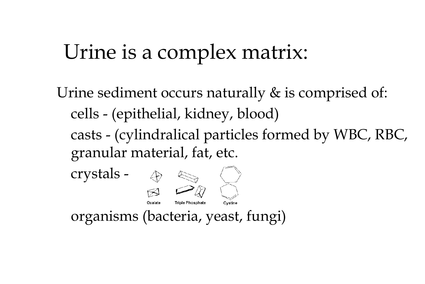#### Urine is a complex matrix:

Urine sediment occurs naturally & is comprised of: cells - (epithelial, kidney, blood) casts - (cylindralical particles formed by WBC, RBC, granular material, fat, etc.

crystals - **Triple Phosphate** Cystine organisms (bacteria, yeast, fungi)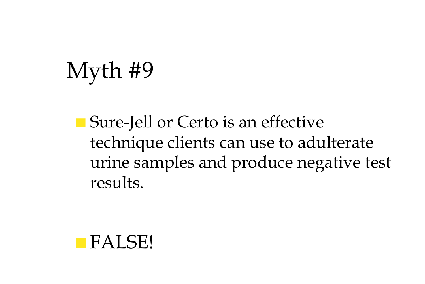■ Sure-Jell or Certo is an effective technique clients can use to adulterate urine samples and produce negative test results.

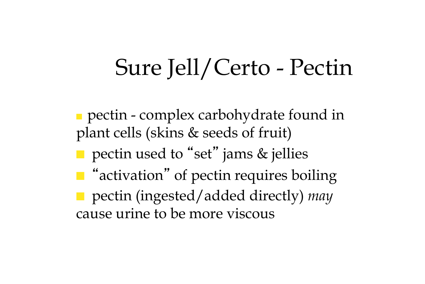#### Sure Jell/Certo - Pectin

■ pectin - complex carbohydrate found in plant cells (skins & seeds of fruit) ■ pectin used to "set" jams & jellies ■ "activation" of pectin requires boiling ■ pectin (ingested/added directly) *may* cause urine to be more viscous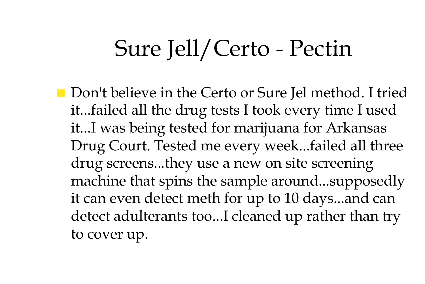#### Sure Jell/Certo - Pectin

■ Don't believe in the Certo or Sure Jel method. I tried it...failed all the drug tests I took every time I used it...I was being tested for marijuana for Arkansas Drug Court. Tested me every week...failed all three drug screens...they use a new on site screening machine that spins the sample around...supposedly it can even detect meth for up to 10 days...and can detect adulterants too...I cleaned up rather than try to cover up.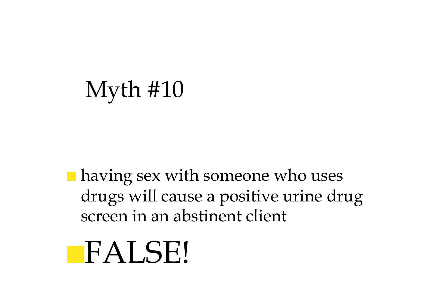■ having sex with someone who uses drugs will cause a positive urine drug screen in an abstinent client

## ■FALSE!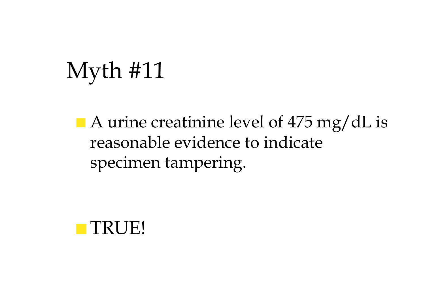■ A urine creatinine level of 475 mg/dL is reasonable evidence to indicate specimen tampering.

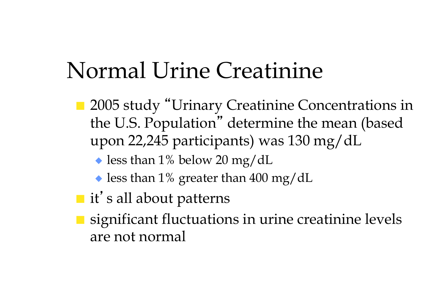#### Normal Urine Creatinine

- 2005 study "Urinary Creatinine Concentrations in the U.S. Population" determine the mean (based upon 22,245 participants) was 130 mg/dL
	- $\blacktriangleright$  less than 1% below 20 mg/dL
	- $\bullet$  less than 1% greater than 400 mg/dL
- it's all about patterns
- significant fluctuations in urine creatinine levels are not normal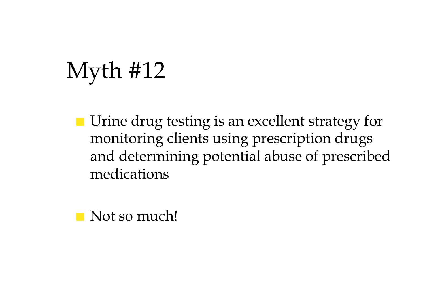■ Urine drug testing is an excellent strategy for monitoring clients using prescription drugs and determining potential abuse of prescribed medications

■ Not so much!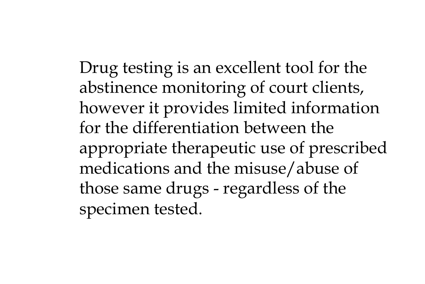Drug testing is an excellent tool for the abstinence monitoring of court clients, however it provides limited information for the differentiation between the appropriate therapeutic use of prescribed medications and the misuse/abuse of those same drugs - regardless of the specimen tested.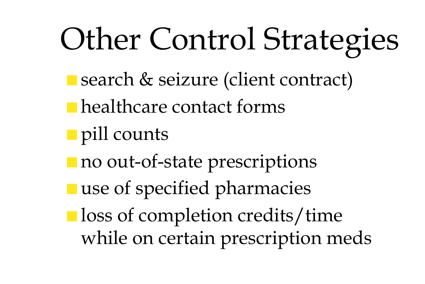# Other Control Strategies

- search & seizure (client contract)
- healthcare contact forms
- pill counts
- no out-of-state prescriptions
- use of specified pharmacies
- loss of completion credits/time while on certain prescription meds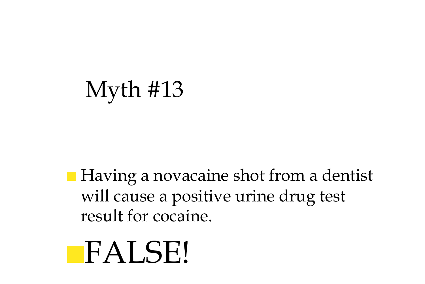■ Having a novacaine shot from a dentist will cause a positive urine drug test result for cocaine.

## ■FALSE!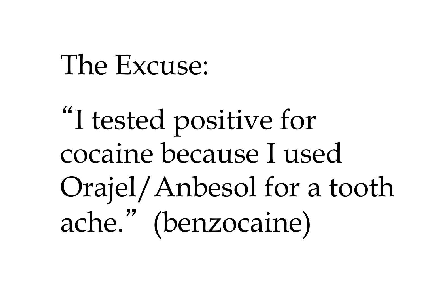"I tested positive for cocaine because I used Orajel/Anbesol for a tooth ache." (benzocaine)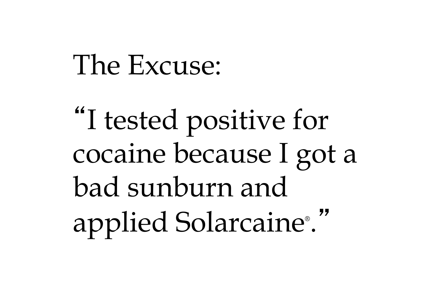"I tested positive for cocaine because I got a bad sunburn and applied Solarcaine® . "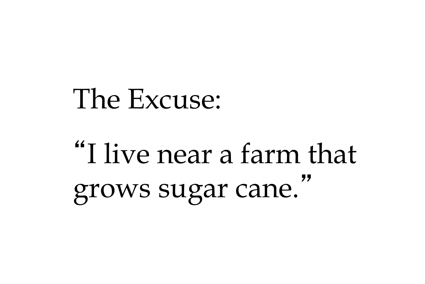## "I live near a farm that grows sugar cane. "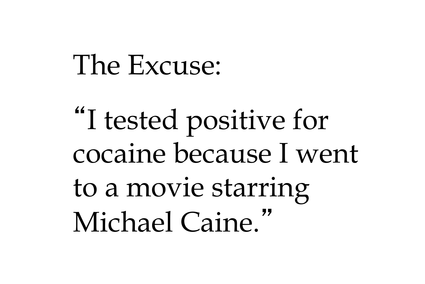"I tested positive for cocaine because I went to a movie starring Michael Caine."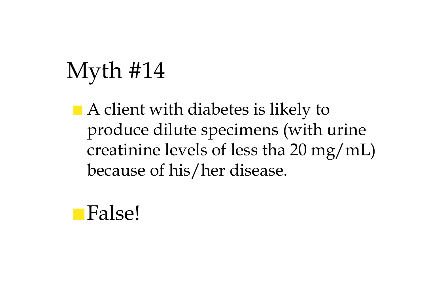■ A client with diabetes is likely to produce dilute specimens (with urine creatinine levels of less tha 20 mg/mL) because of his/her disease.

#### ■False!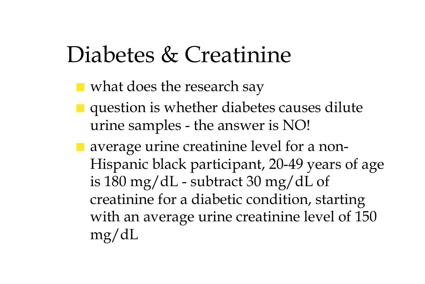#### Diabetes & Creatinine

- what does the research say
- question is whether diabetes causes dilute urine samples - the answer is NO!
- average urine creatinine level for a non-Hispanic black participant, 20-49 years of age is 180 mg/dL - subtract 30 mg/dL of creatinine for a diabetic condition, starting with an average urine creatinine level of 150 mg/dL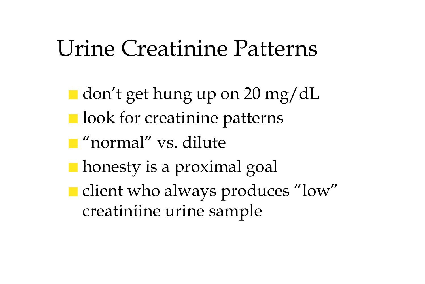#### Urine Creatinine Patterns

■ don't get hung up on 20 mg/dL ■ look for creatinine patterns ■ "normal" vs. dilute ■ honesty is a proximal goal ■ client who always produces "low" creatiniine urine sample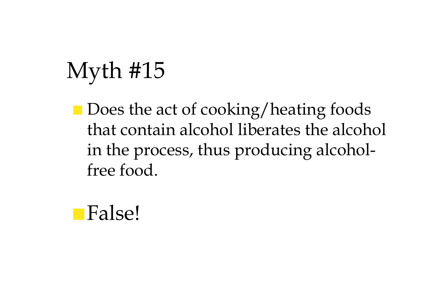■ Does the act of cooking/heating foods that contain alcohol liberates the alcohol in the process, thus producing alcoholfree food.

#### ■False!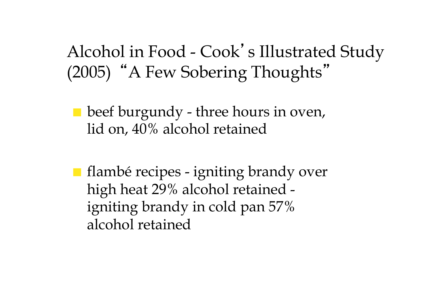#### Alcohol in Food - Cook's Illustrated Study (2005) "A Few Sobering Thoughts"

- $\blacksquare$  beef burgundy three hours in oven, lid on, 40% alcohol retained
- flambé recipes igniting brandy over high heat 29% alcohol retained igniting brandy in cold pan 57% alcohol retained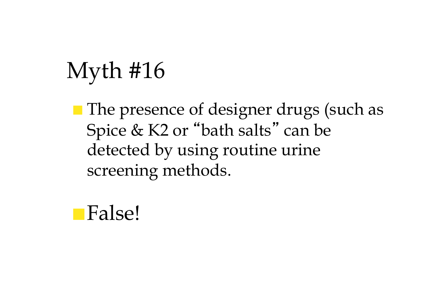■ The presence of designer drugs (such as Spice & K2 or "bath salts" can be detected by using routine urine screening methods.

■False!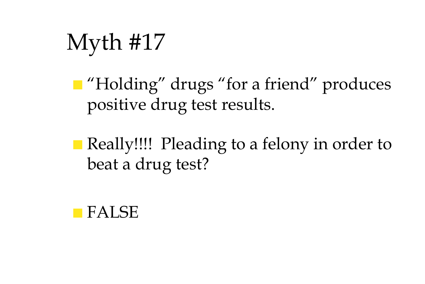■ "Holding" drugs "for a friend" produces positive drug test results.

■ Really!!!! Pleading to a felony in order to beat a drug test?

#### ■ FALSE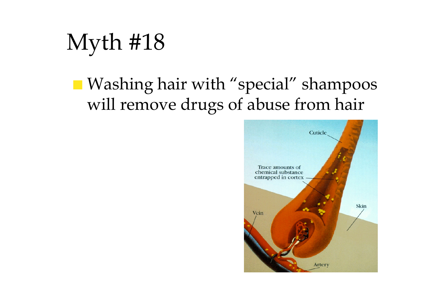Myth #18

#### ■ Washing hair with "special" shampoos will remove drugs of abuse from hair

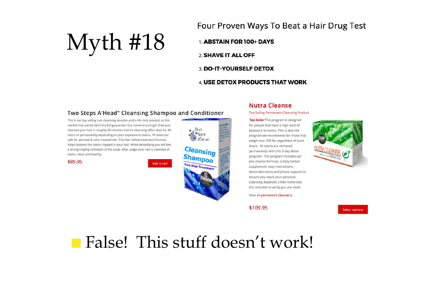Four Proven Ways To Beat a Hair Drug Test

1. ABSTAIN FOR 100+ DAYS 2. SHAVE IT ALL OFF 3. DO-IT-YOURSELF DETOX

#### 4. USE DETOX PRODUCTS THAT WORK

#### Two Steps A'Head" Cleansing Shampoo and Conditioner

This is our top selling hair cleansing solution and is the only product on the market that stands behind a full guarantee. Our extreme strength shampoo cleanses your hair in roughly 60 minutes and it's cleansing effect lasts for 48 hours or permanently depending on your exposure to toxins. Ph balanced safe for permed & color treated hair. This Hair follicle treatment formula helps dissolve the toxins trapped in your hair. While detoxifying you will feel a strong tingling sensation of the scalp. After usage your hair is cleansed of toxins, clean and healthy.

\$89.95

Add to cart



#### **Nutra Cleanse**

**Top Selling Permanent Cleansing Product** 

Top Seller This program is designed for people that have a high level of exposure to toxins. This is also the program we recommend for those that weigh over 200 lbs regardless of toxin levels. All toxins are removed permanently with this 5-day detox program. This program includes our pre-cleanse formula, a daily herbal supplement, easy instructions, detox diet menu and phone support to ensure you reach your personal cleansing deadline! 2 free home test kits included to verify you are clean.

View all permanent cleansers.

\$109.95



**Select options** 

#### ■ False! This stuff doesn't work!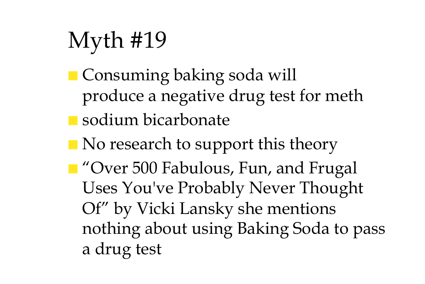- Consuming baking soda will produce a negative drug test for meth
- sodium bicarbonate
- No research to support this theory
- "Over 500 Fabulous, Fun, and Frugal Uses You've Probably Never Thought Of" by Vicki Lansky she mentions nothing about using Baking Soda to pass a drug test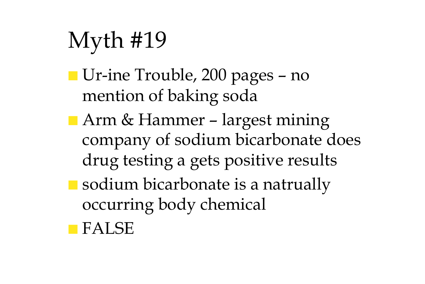- Ur-ine Trouble, 200 pages no mention of baking soda
- Arm & Hammer largest mining company of sodium bicarbonate does drug testing a gets positive results
- sodium bicarbonate is a natrually occurring body chemical
- FALSE